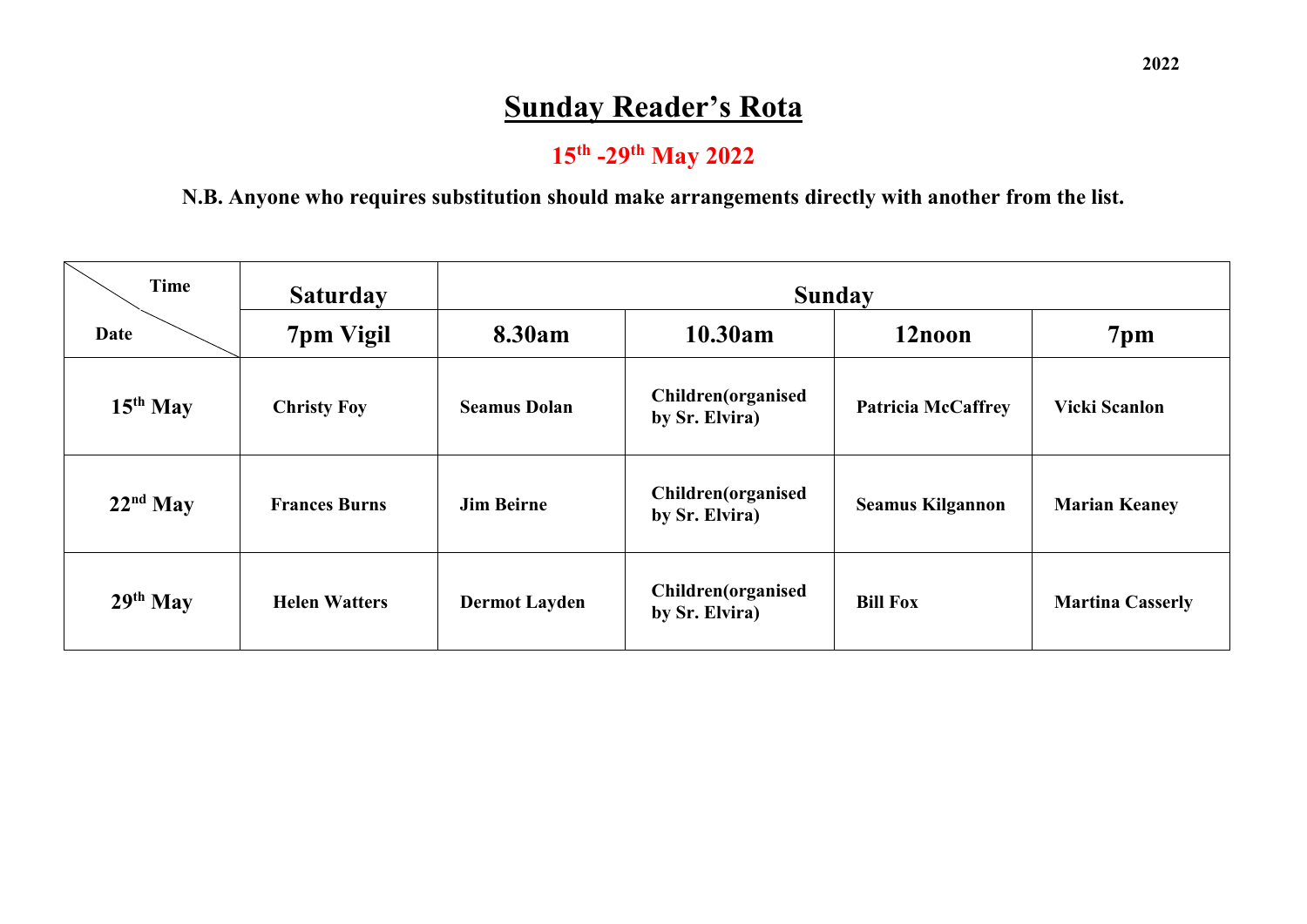# **Sunday Reader's Rota**

## **15th -29th May 2022**

#### **N.B. Anyone who requires substitution should make arrangements directly with another from the list.**

| <b>Time</b> | <b>Saturday</b>      | <b>Sunday</b>        |                                       |                           |                         |  |
|-------------|----------------------|----------------------|---------------------------------------|---------------------------|-------------------------|--|
| Date        | 7pm Vigil            | 8.30am               | 10.30am                               | 12noon                    | 7 <sub>pm</sub>         |  |
| $15th$ May  | <b>Christy Foy</b>   | <b>Seamus Dolan</b>  | Children(organised<br>by Sr. Elvira)  | <b>Patricia McCaffrey</b> | <b>Vicki Scanlon</b>    |  |
| $22nd$ May  | <b>Frances Burns</b> | <b>Jim Beirne</b>    | Children(organised<br>by Sr. Elvira)  | <b>Seamus Kilgannon</b>   | <b>Marian Keaney</b>    |  |
| $29th$ May  | <b>Helen Watters</b> | <b>Dermot Layden</b> | Children (organised<br>by Sr. Elvira) | <b>Bill Fox</b>           | <b>Martina Casserly</b> |  |